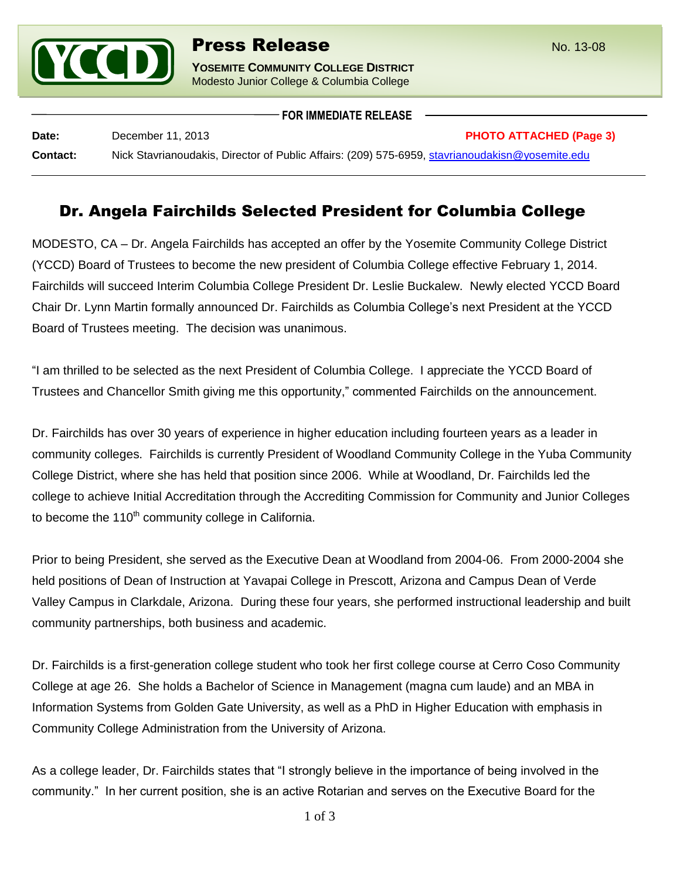

**FOR IMMEDIATE RELEASE**

| Date:           | December 11, 2013                                                                               | <b>PHOTO ATTACHED (Page 3)</b> |
|-----------------|-------------------------------------------------------------------------------------------------|--------------------------------|
| <b>Contact:</b> | Nick Stavrianoudakis, Director of Public Affairs: (209) 575-6959, stavrianoudakisn@yosemite.edu |                                |

## Dr. Angela Fairchilds Selected President for Columbia College

MODESTO, CA – Dr. Angela Fairchilds has accepted an offer by the Yosemite Community College District (YCCD) Board of Trustees to become the new president of Columbia College effective February 1, 2014. Fairchilds will succeed Interim Columbia College President Dr. Leslie Buckalew. Newly elected YCCD Board Chair Dr. Lynn Martin formally announced Dr. Fairchilds as Columbia College's next President at the YCCD Board of Trustees meeting. The decision was unanimous.

"I am thrilled to be selected as the next President of Columbia College. I appreciate the YCCD Board of Trustees and Chancellor Smith giving me this opportunity," commented Fairchilds on the announcement.

Dr. Fairchilds has over 30 years of experience in higher education including fourteen years as a leader in community colleges. Fairchilds is currently President of Woodland Community College in the Yuba Community College District, where she has held that position since 2006. While at Woodland, Dr. Fairchilds led the college to achieve Initial Accreditation through the Accrediting Commission for Community and Junior Colleges to become the  $110<sup>th</sup>$  community college in California.

Prior to being President, she served as the Executive Dean at Woodland from 2004-06. From 2000-2004 she held positions of Dean of Instruction at Yavapai College in Prescott, Arizona and Campus Dean of Verde Valley Campus in Clarkdale, Arizona. During these four years, she performed instructional leadership and built community partnerships, both business and academic.

Dr. Fairchilds is a first-generation college student who took her first college course at Cerro Coso Community College at age 26. She holds a Bachelor of Science in Management (magna cum laude) and an MBA in Information Systems from Golden Gate University, as well as a PhD in Higher Education with emphasis in Community College Administration from the University of Arizona.

As a college leader, Dr. Fairchilds states that "I strongly believe in the importance of being involved in the community." In her current position, she is an active Rotarian and serves on the Executive Board for the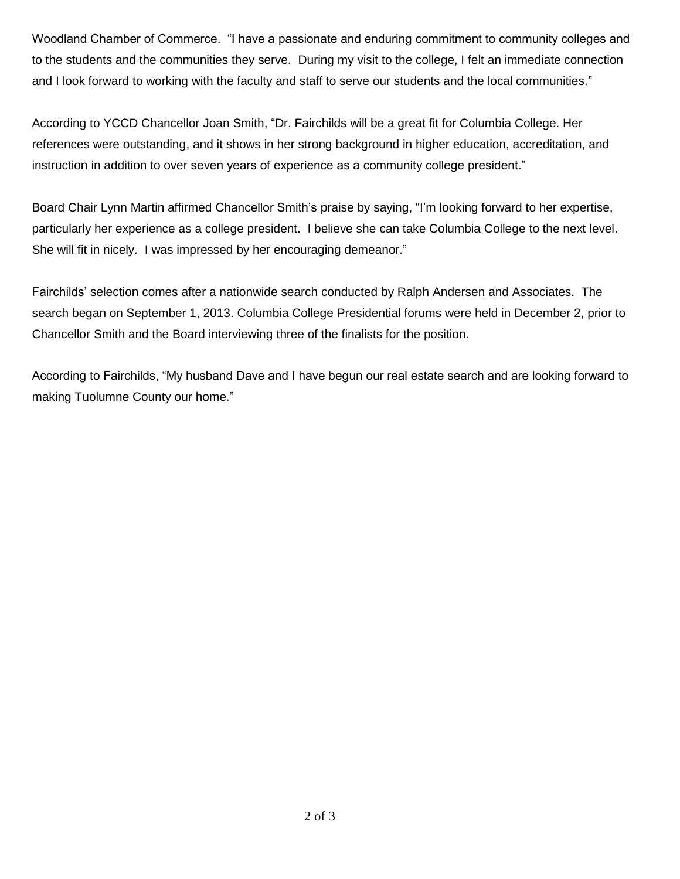Woodland Chamber of Commerce. "I have a passionate and enduring commitment to community colleges and to the students and the communities they serve. During my visit to the college, I felt an immediate connection and I look forward to working with the faculty and staff to serve our students and the local communities."

According to YCCD Chancellor Joan Smith, "Dr. Fairchilds will be a great fit for Columbia College. Her references were outstanding, and it shows in her strong background in higher education, accreditation, and instruction in addition to over seven years of experience as a community college president."

Board Chair Lynn Martin affirmed Chancellor Smith's praise by saying, "I'm looking forward to her expertise, particularly her experience as a college president. I believe she can take Columbia College to the next level. She will fit in nicely. I was impressed by her encouraging demeanor."

Fairchilds' selection comes after a nationwide search conducted by Ralph Andersen and Associates. The search began on September 1, 2013. Columbia College Presidential forums were held in December 2, prior to Chancellor Smith and the Board interviewing three of the finalists for the position.

According to Fairchilds, "My husband Dave and I have begun our real estate search and are looking forward to making Tuolumne County our home."